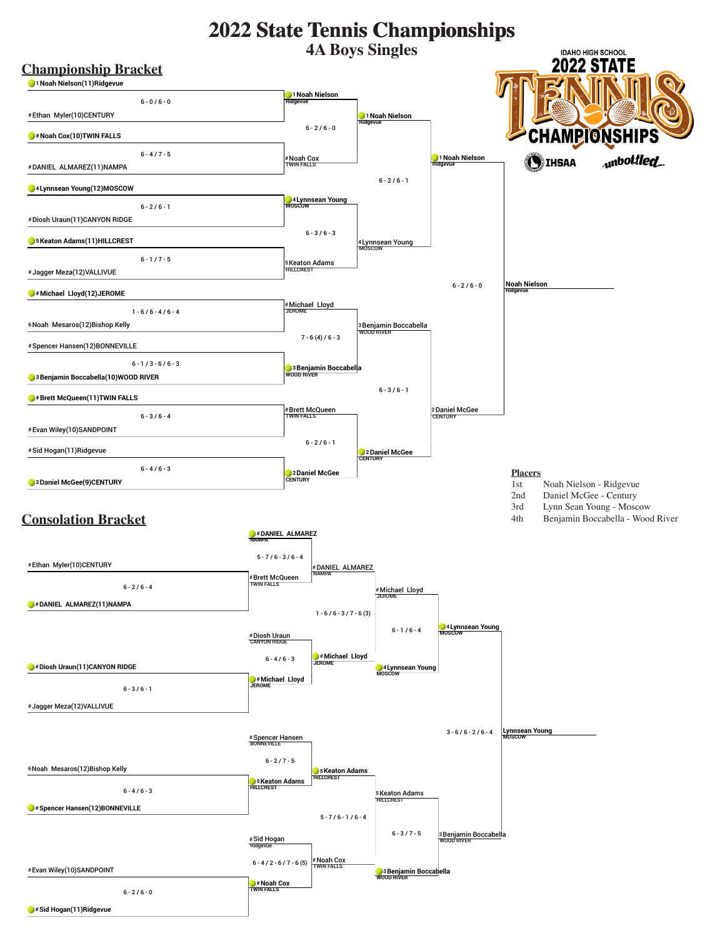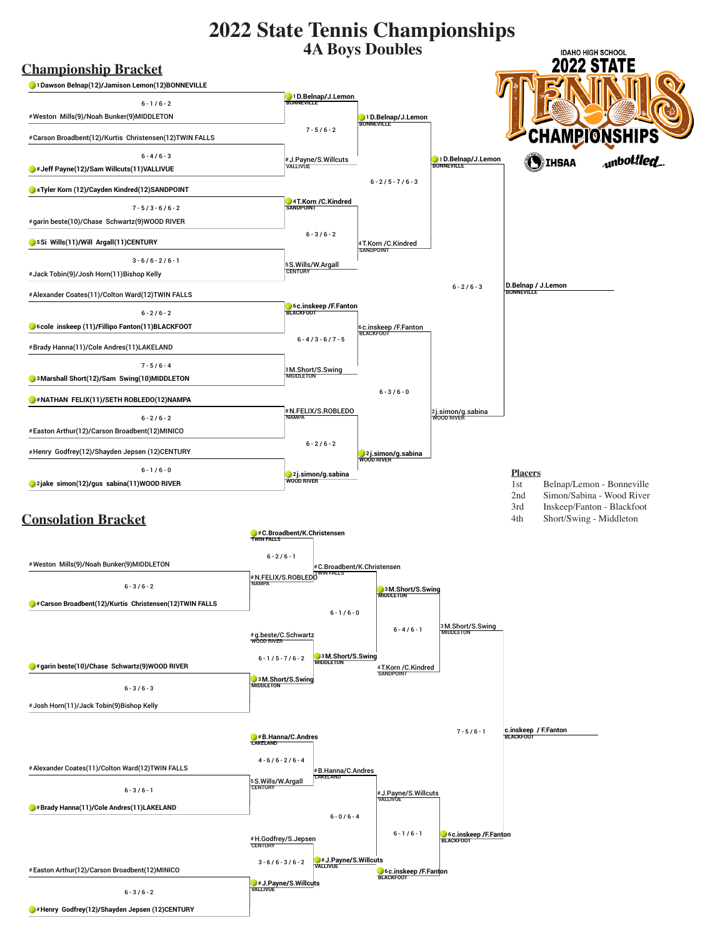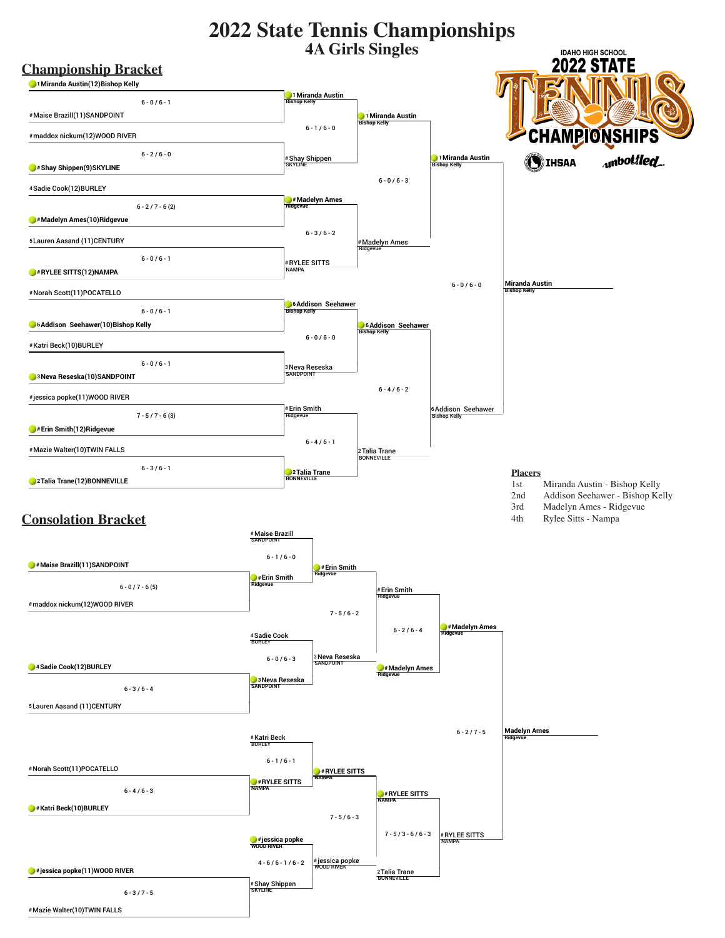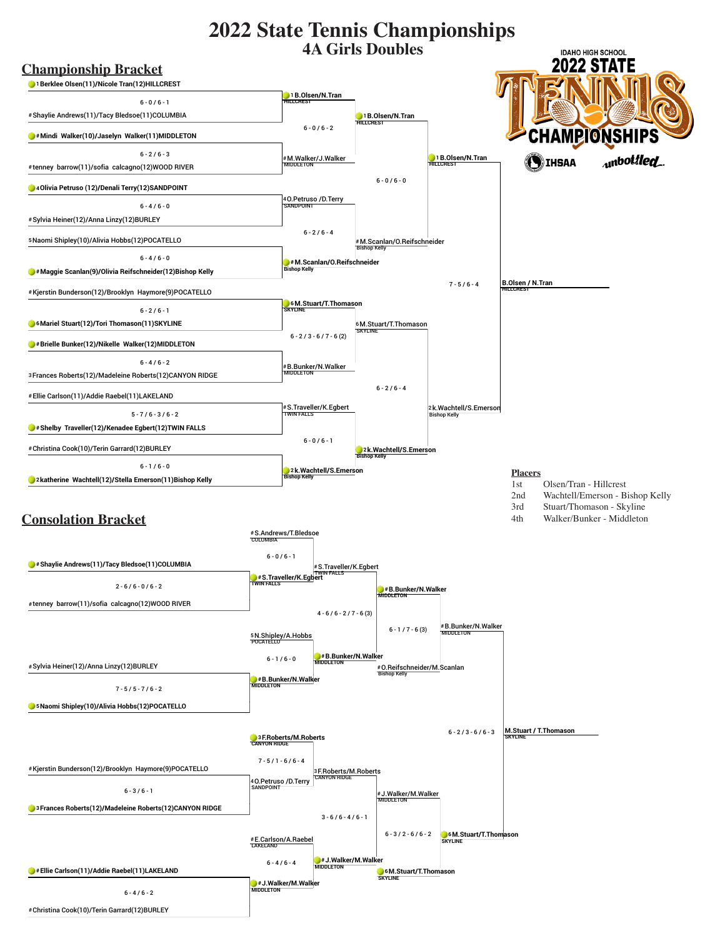

#Christina Cook(10)/Terin Garrard(12)BURLEY